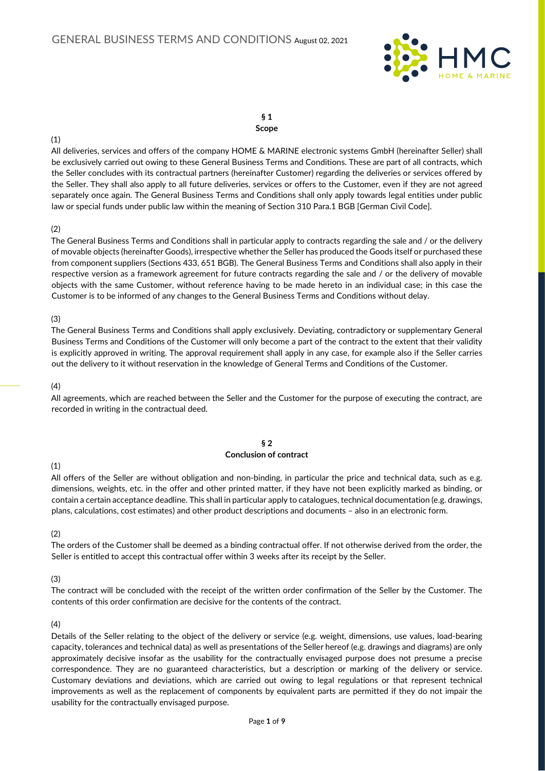

#### § 1 Scope

#### (1)

All deliveries, services and offers of the company HOME & MARINE electronic systems GmbH (hereinafter Seller) shall be exclusively carried out owing to these General Business Terms and Conditions. These are part of all contracts, which the Seller concludes with its contractual partners (hereinafter Customer) regarding the deliveries or services offered by the Seller. They shall also apply to all future deliveries, services or offers to the Customer, even if they are not agreed separately once again. The General Business Terms and Conditions shall only apply towards legal entities under public law or special funds under public law within the meaning of Section 310 Para.1 BGB [German Civil Code].

### (2)

The General Business Terms and Conditions shall in particular apply to contracts regarding the sale and / or the delivery of movable objects (hereinafter Goods), irrespective whether the Seller has produced the Goods itself or purchased these from component suppliers (Sections 433, 651 BGB). The General Business Terms and Conditions shall also apply in their respective version as a framework agreement for future contracts regarding the sale and / or the delivery of movable objects with the same Customer, without reference having to be made hereto in an individual case; in this case the Customer is to be informed of any changes to the General Business Terms and Conditions without delay.

### (3)

The General Business Terms and Conditions shall apply exclusively. Deviating, contradictory or supplementary General Business Terms and Conditions of the Customer will only become a part of the contract to the extent that their validity is explicitly approved in writing. The approval requirement shall apply in any case, for example also if the Seller carries out the delivery to it without reservation in the knowledge of General Terms and Conditions of the Customer.

### (4)

All agreements, which are reached between the Seller and the Customer for the purpose of executing the contract, are recorded in writing in the contractual deed.

### § 2

#### Conclusion of contract

## (1)

All offers of the Seller are without obligation and non-binding, in particular the price and technical data, such as e.g. dimensions, weights, etc. in the offer and other printed matter, if they have not been explicitly marked as binding, or contain a certain acceptance deadline. This shall in particular apply to catalogues, technical documentation (e.g. drawings, plans, calculations, cost estimates) and other product descriptions and documents – also in an electronic form.

### (2)

The orders of the Customer shall be deemed as a binding contractual offer. If not otherwise derived from the order, the Seller is entitled to accept this contractual offer within 3 weeks after its receipt by the Seller.

## (3)

The contract will be concluded with the receipt of the written order confirmation of the Seller by the Customer. The contents of this order confirmation are decisive for the contents of the contract.

### (4)

Details of the Seller relating to the object of the delivery or service (e.g. weight, dimensions, use values, load-bearing capacity, tolerances and technical data) as well as presentations of the Seller hereof (e.g. drawings and diagrams) are only approximately decisive insofar as the usability for the contractually envisaged purpose does not presume a precise correspondence. They are no guaranteed characteristics, but a description or marking of the delivery or service. Customary deviations and deviations, which are carried out owing to legal regulations or that represent technical improvements as well as the replacement of components by equivalent parts are permitted if they do not impair the usability for the contractually envisaged purpose.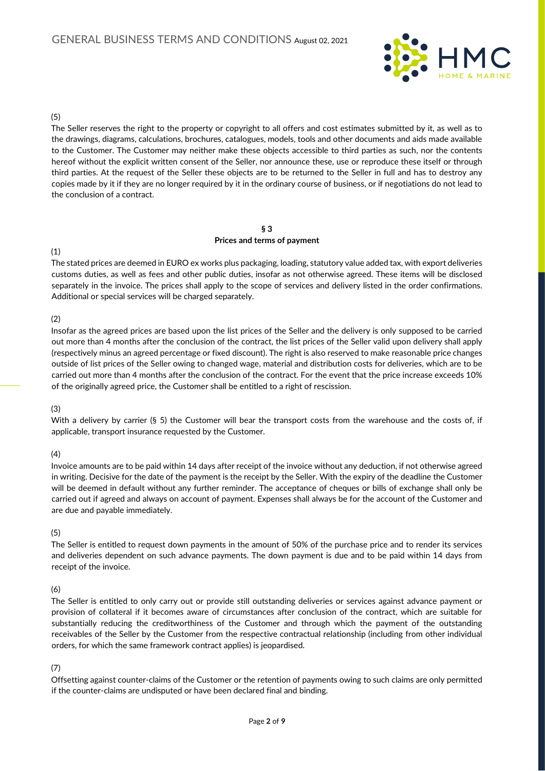

### (5)

The Seller reserves the right to the property or copyright to all offers and cost estimates submitted by it, as well as to the drawings, diagrams, calculations, brochures, catalogues, models, tools and other documents and aids made available to the Customer. The Customer may neither make these objects accessible to third parties as such, nor the contents hereof without the explicit written consent of the Seller, nor announce these, use or reproduce these itself or through third parties. At the request of the Seller these objects are to be returned to the Seller in full and has to destroy any copies made by it if they are no longer required by it in the ordinary course of business, or if negotiations do not lead to the conclusion of a contract.

#### § 3 Prices and terms of payment

### (1)

The stated prices are deemed in EURO ex works plus packaging, loading, statutory value added tax, with export deliveries customs duties, as well as fees and other public duties, insofar as not otherwise agreed. These items will be disclosed separately in the invoice. The prices shall apply to the scope of services and delivery listed in the order confirmations. Additional or special services will be charged separately.

### (2)

Insofar as the agreed prices are based upon the list prices of the Seller and the delivery is only supposed to be carried out more than 4 months after the conclusion of the contract, the list prices of the Seller valid upon delivery shall apply (respectively minus an agreed percentage or fixed discount). The right is also reserved to make reasonable price changes outside of list prices of the Seller owing to changed wage, material and distribution costs for deliveries, which are to be carried out more than 4 months after the conclusion of the contract. For the event that the price increase exceeds 10% of the originally agreed price, the Customer shall be entitled to a right of rescission.

### (3)

With a delivery by carrier (§ 5) the Customer will bear the transport costs from the warehouse and the costs of, if applicable, transport insurance requested by the Customer.

### (4)

Invoice amounts are to be paid within 14 days after receipt of the invoice without any deduction, if not otherwise agreed in writing. Decisive for the date of the payment is the receipt by the Seller. With the expiry of the deadline the Customer will be deemed in default without any further reminder. The acceptance of cheques or bills of exchange shall only be carried out if agreed and always on account of payment. Expenses shall always be for the account of the Customer and are due and payable immediately.

### (5)

The Seller is entitled to request down payments in the amount of 50% of the purchase price and to render its services and deliveries dependent on such advance payments. The down payment is due and to be paid within 14 days from receipt of the invoice.

## (6)

The Seller is entitled to only carry out or provide still outstanding deliveries or services against advance payment or provision of collateral if it becomes aware of circumstances after conclusion of the contract, which are suitable for substantially reducing the creditworthiness of the Customer and through which the payment of the outstanding receivables of the Seller by the Customer from the respective contractual relationship (including from other individual orders, for which the same framework contract applies) is jeopardised.

## (7)

Offsetting against counter-claims of the Customer or the retention of payments owing to such claims are only permitted if the counter-claims are undisputed or have been declared final and binding.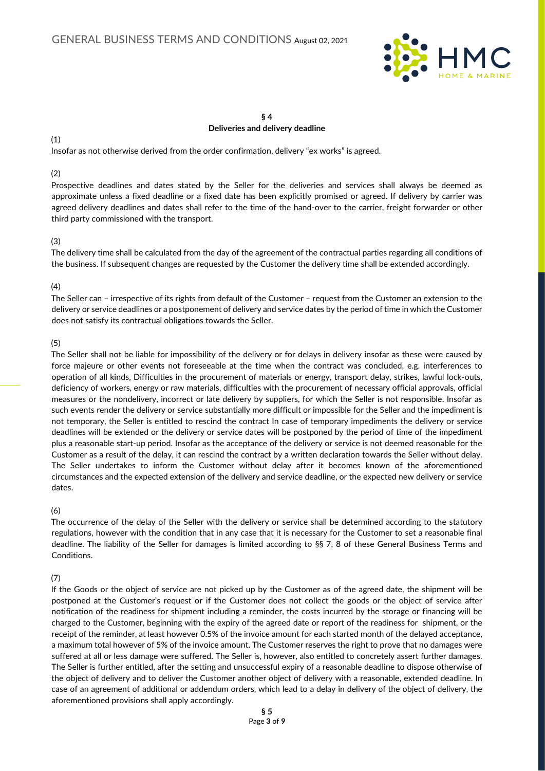

## § 4 Deliveries and delivery deadline

(1)

Insofar as not otherwise derived from the order confirmation, delivery "ex works" is agreed.

#### (2)

Prospective deadlines and dates stated by the Seller for the deliveries and services shall always be deemed as approximate unless a fixed deadline or a fixed date has been explicitly promised or agreed. If delivery by carrier was agreed delivery deadlines and dates shall refer to the time of the hand-over to the carrier, freight forwarder or other third party commissioned with the transport.

### (3)

The delivery time shall be calculated from the day of the agreement of the contractual parties regarding all conditions of the business. If subsequent changes are requested by the Customer the delivery time shall be extended accordingly.

### (4)

The Seller can – irrespective of its rights from default of the Customer – request from the Customer an extension to the delivery or service deadlines or a postponement of delivery and service dates by the period of time in which the Customer does not satisfy its contractual obligations towards the Seller.

### (5)

The Seller shall not be liable for impossibility of the delivery or for delays in delivery insofar as these were caused by force majeure or other events not foreseeable at the time when the contract was concluded, e.g. interferences to operation of all kinds, Difficulties in the procurement of materials or energy, transport delay, strikes, lawful lock-outs, deficiency of workers, energy or raw materials, difficulties with the procurement of necessary official approvals, official measures or the nondelivery, incorrect or late delivery by suppliers, for which the Seller is not responsible. Insofar as such events render the delivery or service substantially more difficult or impossible for the Seller and the impediment is not temporary, the Seller is entitled to rescind the contract In case of temporary impediments the delivery or service deadlines will be extended or the delivery or service dates will be postponed by the period of time of the impediment plus a reasonable start-up period. Insofar as the acceptance of the delivery or service is not deemed reasonable for the Customer as a result of the delay, it can rescind the contract by a written declaration towards the Seller without delay. The Seller undertakes to inform the Customer without delay after it becomes known of the aforementioned circumstances and the expected extension of the delivery and service deadline, or the expected new delivery or service dates.

### (6)

The occurrence of the delay of the Seller with the delivery or service shall be determined according to the statutory regulations, however with the condition that in any case that it is necessary for the Customer to set a reasonable final deadline. The liability of the Seller for damages is limited according to §§ 7, 8 of these General Business Terms and Conditions.

## (7)

If the Goods or the object of service are not picked up by the Customer as of the agreed date, the shipment will be postponed at the Customer's request or if the Customer does not collect the goods or the object of service after notification of the readiness for shipment including a reminder, the costs incurred by the storage or financing will be charged to the Customer, beginning with the expiry of the agreed date or report of the readiness for shipment, or the receipt of the reminder, at least however 0.5% of the invoice amount for each started month of the delayed acceptance, a maximum total however of 5% of the invoice amount. The Customer reserves the right to prove that no damages were suffered at all or less damage were suffered. The Seller is, however, also entitled to concretely assert further damages. The Seller is further entitled, after the setting and unsuccessful expiry of a reasonable deadline to dispose otherwise of the object of delivery and to deliver the Customer another object of delivery with a reasonable, extended deadline. In case of an agreement of additional or addendum orders, which lead to a delay in delivery of the object of delivery, the aforementioned provisions shall apply accordingly.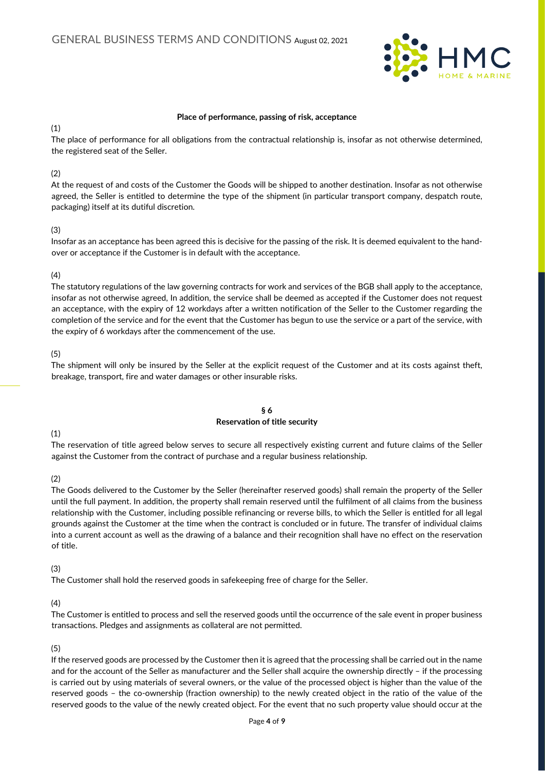

#### Place of performance, passing of risk, acceptance

### (1)

The place of performance for all obligations from the contractual relationship is, insofar as not otherwise determined, the registered seat of the Seller.

### (2)

At the request of and costs of the Customer the Goods will be shipped to another destination. Insofar as not otherwise agreed, the Seller is entitled to determine the type of the shipment (in particular transport company, despatch route, packaging) itself at its dutiful discretion.

### (3)

Insofar as an acceptance has been agreed this is decisive for the passing of the risk. It is deemed equivalent to the handover or acceptance if the Customer is in default with the acceptance.

### (4)

The statutory regulations of the law governing contracts for work and services of the BGB shall apply to the acceptance, insofar as not otherwise agreed, In addition, the service shall be deemed as accepted if the Customer does not request an acceptance, with the expiry of 12 workdays after a written notification of the Seller to the Customer regarding the completion of the service and for the event that the Customer has begun to use the service or a part of the service, with the expiry of 6 workdays after the commencement of the use.

## (5)

The shipment will only be insured by the Seller at the explicit request of the Customer and at its costs against theft, breakage, transport, fire and water damages or other insurable risks.

#### § 6 Reservation of title security

## (1)

The reservation of title agreed below serves to secure all respectively existing current and future claims of the Seller against the Customer from the contract of purchase and a regular business relationship.

### (2)

The Goods delivered to the Customer by the Seller (hereinafter reserved goods) shall remain the property of the Seller until the full payment. In addition, the property shall remain reserved until the fulfilment of all claims from the business relationship with the Customer, including possible refinancing or reverse bills, to which the Seller is entitled for all legal grounds against the Customer at the time when the contract is concluded or in future. The transfer of individual claims into a current account as well as the drawing of a balance and their recognition shall have no effect on the reservation of title.

### (3)

The Customer shall hold the reserved goods in safekeeping free of charge for the Seller.

## (4)

The Customer is entitled to process and sell the reserved goods until the occurrence of the sale event in proper business transactions. Pledges and assignments as collateral are not permitted.

## (5)

If the reserved goods are processed by the Customer then it is agreed that the processing shall be carried out in the name and for the account of the Seller as manufacturer and the Seller shall acquire the ownership directly – if the processing is carried out by using materials of several owners, or the value of the processed object is higher than the value of the reserved goods – the co-ownership (fraction ownership) to the newly created object in the ratio of the value of the reserved goods to the value of the newly created object. For the event that no such property value should occur at the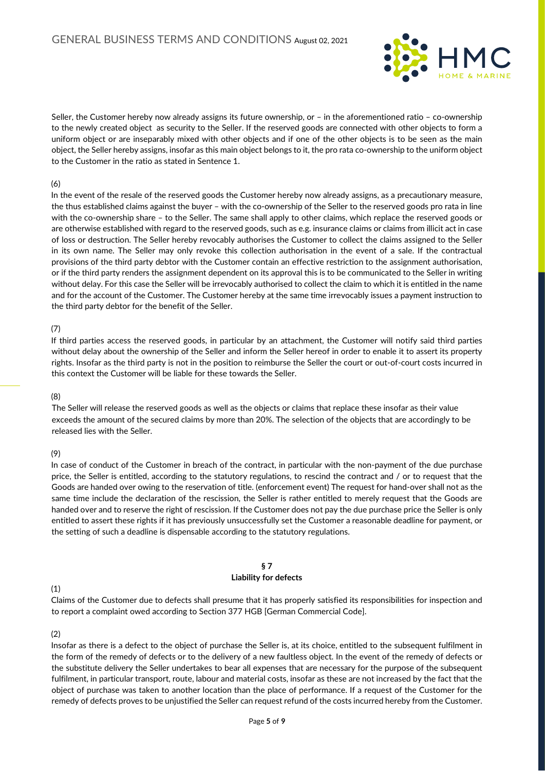

Seller, the Customer hereby now already assigns its future ownership, or – in the aforementioned ratio – co-ownership to the newly created object as security to the Seller. If the reserved goods are connected with other objects to form a uniform object or are inseparably mixed with other objects and if one of the other objects is to be seen as the main object, the Seller hereby assigns, insofar as this main object belongs to it, the pro rata co-ownership to the uniform object to the Customer in the ratio as stated in Sentence 1.

### (6)

In the event of the resale of the reserved goods the Customer hereby now already assigns, as a precautionary measure, the thus established claims against the buyer – with the co-ownership of the Seller to the reserved goods pro rata in line with the co-ownership share – to the Seller. The same shall apply to other claims, which replace the reserved goods or are otherwise established with regard to the reserved goods, such as e.g. insurance claims or claims from illicit act in case of loss or destruction. The Seller hereby revocably authorises the Customer to collect the claims assigned to the Seller in its own name. The Seller may only revoke this collection authorisation in the event of a sale. If the contractual provisions of the third party debtor with the Customer contain an effective restriction to the assignment authorisation, or if the third party renders the assignment dependent on its approval this is to be communicated to the Seller in writing without delay. For this case the Seller will be irrevocably authorised to collect the claim to which it is entitled in the name and for the account of the Customer. The Customer hereby at the same time irrevocably issues a payment instruction to the third party debtor for the benefit of the Seller.

### (7)

If third parties access the reserved goods, in particular by an attachment, the Customer will notify said third parties without delay about the ownership of the Seller and inform the Seller hereof in order to enable it to assert its property rights. Insofar as the third party is not in the position to reimburse the Seller the court or out-of-court costs incurred in this context the Customer will be liable for these towards the Seller.

### (8)

The Seller will release the reserved goods as well as the objects or claims that replace these insofar as their value exceeds the amount of the secured claims by more than 20%. The selection of the objects that are accordingly to be released lies with the Seller.

### (9)

In case of conduct of the Customer in breach of the contract, in particular with the non-payment of the due purchase price, the Seller is entitled, according to the statutory regulations, to rescind the contract and / or to request that the Goods are handed over owing to the reservation of title. (enforcement event) The request for hand-over shall not as the same time include the declaration of the rescission, the Seller is rather entitled to merely request that the Goods are handed over and to reserve the right of rescission. If the Customer does not pay the due purchase price the Seller is only entitled to assert these rights if it has previously unsuccessfully set the Customer a reasonable deadline for payment, or the setting of such a deadline is dispensable according to the statutory regulations.

#### § 7 Liability for defects

### (1)

Claims of the Customer due to defects shall presume that it has properly satisfied its responsibilities for inspection and to report a complaint owed according to Section 377 HGB [German Commercial Code].

### (2)

Insofar as there is a defect to the object of purchase the Seller is, at its choice, entitled to the subsequent fulfilment in the form of the remedy of defects or to the delivery of a new faultless object. In the event of the remedy of defects or the substitute delivery the Seller undertakes to bear all expenses that are necessary for the purpose of the subsequent fulfilment, in particular transport, route, labour and material costs, insofar as these are not increased by the fact that the object of purchase was taken to another location than the place of performance. If a request of the Customer for the remedy of defects proves to be unjustified the Seller can request refund of the costs incurred hereby from the Customer.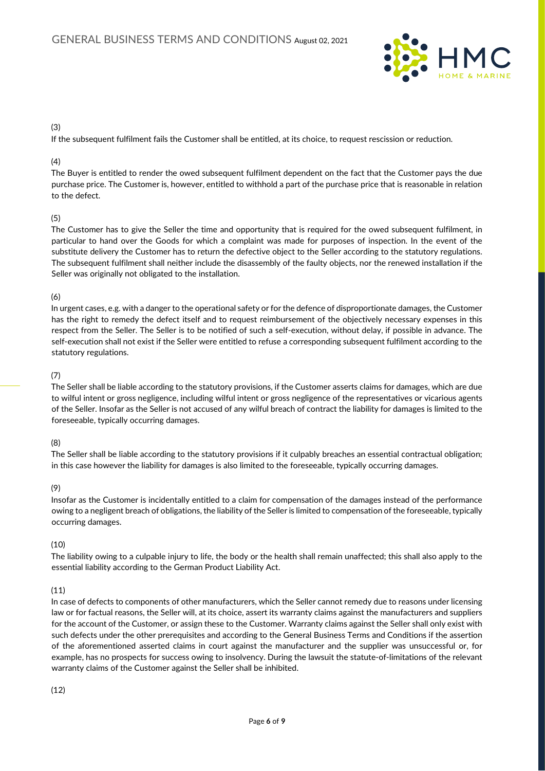

### (3)

If the subsequent fulfilment fails the Customer shall be entitled, at its choice, to request rescission or reduction.

## (4)

The Buyer is entitled to render the owed subsequent fulfilment dependent on the fact that the Customer pays the due purchase price. The Customer is, however, entitled to withhold a part of the purchase price that is reasonable in relation to the defect.

## (5)

The Customer has to give the Seller the time and opportunity that is required for the owed subsequent fulfilment, in particular to hand over the Goods for which a complaint was made for purposes of inspection. In the event of the substitute delivery the Customer has to return the defective object to the Seller according to the statutory regulations. The subsequent fulfilment shall neither include the disassembly of the faulty objects, nor the renewed installation if the Seller was originally not obligated to the installation.

### (6)

In urgent cases, e.g. with a danger to the operational safety or for the defence of disproportionate damages, the Customer has the right to remedy the defect itself and to request reimbursement of the objectively necessary expenses in this respect from the Seller. The Seller is to be notified of such a self-execution, without delay, if possible in advance. The self-execution shall not exist if the Seller were entitled to refuse a corresponding subsequent fulfilment according to the statutory regulations.

### (7)

The Seller shall be liable according to the statutory provisions, if the Customer asserts claims for damages, which are due to wilful intent or gross negligence, including wilful intent or gross negligence of the representatives or vicarious agents of the Seller. Insofar as the Seller is not accused of any wilful breach of contract the liability for damages is limited to the foreseeable, typically occurring damages.

## (8)

The Seller shall be liable according to the statutory provisions if it culpably breaches an essential contractual obligation; in this case however the liability for damages is also limited to the foreseeable, typically occurring damages.

## (9)

Insofar as the Customer is incidentally entitled to a claim for compensation of the damages instead of the performance owing to a negligent breach of obligations, the liability of the Seller is limited to compensation of the foreseeable, typically occurring damages.

## (10)

The liability owing to a culpable injury to life, the body or the health shall remain unaffected; this shall also apply to the essential liability according to the German Product Liability Act.

## (11)

In case of defects to components of other manufacturers, which the Seller cannot remedy due to reasons under licensing law or for factual reasons, the Seller will, at its choice, assert its warranty claims against the manufacturers and suppliers for the account of the Customer, or assign these to the Customer. Warranty claims against the Seller shall only exist with such defects under the other prerequisites and according to the General Business Terms and Conditions if the assertion of the aforementioned asserted claims in court against the manufacturer and the supplier was unsuccessful or, for example, has no prospects for success owing to insolvency. During the lawsuit the statute-of-limitations of the relevant warranty claims of the Customer against the Seller shall be inhibited.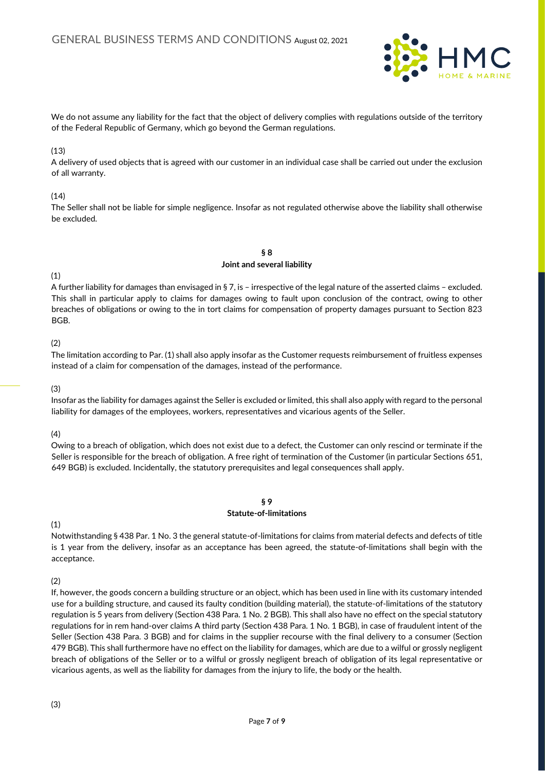

We do not assume any liability for the fact that the object of delivery complies with regulations outside of the territory of the Federal Republic of Germany, which go beyond the German regulations.

### (13)

A delivery of used objects that is agreed with our customer in an individual case shall be carried out under the exclusion of all warranty.

#### $(14)$

The Seller shall not be liable for simple negligence. Insofar as not regulated otherwise above the liability shall otherwise be excluded.

> § 8 Joint and several liability

### (1)

A further liability for damages than envisaged in § 7, is – irrespective of the legal nature of the asserted claims – excluded. This shall in particular apply to claims for damages owing to fault upon conclusion of the contract, owing to other breaches of obligations or owing to the in tort claims for compensation of property damages pursuant to Section 823 BGB.

### (2)

The limitation according to Par. (1) shall also apply insofar as the Customer requests reimbursement of fruitless expenses instead of a claim for compensation of the damages, instead of the performance.

#### (3)

Insofar as the liability for damages against the Seller is excluded or limited, this shall also apply with regard to the personal liability for damages of the employees, workers, representatives and vicarious agents of the Seller.

### (4)

Owing to a breach of obligation, which does not exist due to a defect, the Customer can only rescind or terminate if the Seller is responsible for the breach of obligation. A free right of termination of the Customer (in particular Sections 651, 649 BGB) is excluded. Incidentally, the statutory prerequisites and legal consequences shall apply.

### § 9 Statute-of-limitations

## (1)

Notwithstanding § 438 Par. 1 No. 3 the general statute-of-limitations for claims from material defects and defects of title is 1 year from the delivery, insofar as an acceptance has been agreed, the statute-of-limitations shall begin with the acceptance.

(2)

If, however, the goods concern a building structure or an object, which has been used in line with its customary intended use for a building structure, and caused its faulty condition (building material), the statute-of-limitations of the statutory regulation is 5 years from delivery (Section 438 Para. 1 No. 2 BGB). This shall also have no effect on the special statutory regulations for in rem hand-over claims A third party (Section 438 Para. 1 No. 1 BGB), in case of fraudulent intent of the Seller (Section 438 Para. 3 BGB) and for claims in the supplier recourse with the final delivery to a consumer (Section 479 BGB). This shall furthermore have no effect on the liability for damages, which are due to a wilful or grossly negligent breach of obligations of the Seller or to a wilful or grossly negligent breach of obligation of its legal representative or vicarious agents, as well as the liability for damages from the injury to life, the body or the health.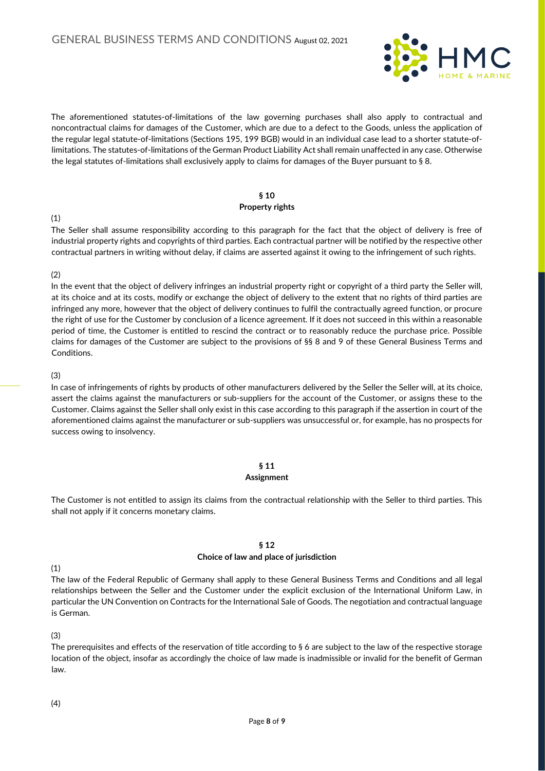

The aforementioned statutes-of-limitations of the law governing purchases shall also apply to contractual and noncontractual claims for damages of the Customer, which are due to a defect to the Goods, unless the application of the regular legal statute-of-limitations (Sections 195, 199 BGB) would in an individual case lead to a shorter statute-oflimitations. The statutes-of-limitations of the German Product Liability Act shall remain unaffected in any case. Otherwise the legal statutes of-limitations shall exclusively apply to claims for damages of the Buyer pursuant to § 8.

#### § 10 Property rights

(1)

The Seller shall assume responsibility according to this paragraph for the fact that the object of delivery is free of industrial property rights and copyrights of third parties. Each contractual partner will be notified by the respective other contractual partners in writing without delay, if claims are asserted against it owing to the infringement of such rights.

## (2)

In the event that the object of delivery infringes an industrial property right or copyright of a third party the Seller will, at its choice and at its costs, modify or exchange the object of delivery to the extent that no rights of third parties are infringed any more, however that the object of delivery continues to fulfil the contractually agreed function, or procure the right of use for the Customer by conclusion of a licence agreement. If it does not succeed in this within a reasonable period of time, the Customer is entitled to rescind the contract or to reasonably reduce the purchase price. Possible claims for damages of the Customer are subject to the provisions of §§ 8 and 9 of these General Business Terms and Conditions.

### (3)

In case of infringements of rights by products of other manufacturers delivered by the Seller the Seller will, at its choice, assert the claims against the manufacturers or sub-suppliers for the account of the Customer, or assigns these to the Customer. Claims against the Seller shall only exist in this case according to this paragraph if the assertion in court of the aforementioned claims against the manufacturer or sub-suppliers was unsuccessful or, for example, has no prospects for success owing to insolvency.

## § 11

### Assignment

The Customer is not entitled to assign its claims from the contractual relationship with the Seller to third parties. This shall not apply if it concerns monetary claims.

## § 12

## Choice of law and place of jurisdiction

# (1)

The law of the Federal Republic of Germany shall apply to these General Business Terms and Conditions and all legal relationships between the Seller and the Customer under the explicit exclusion of the International Uniform Law, in particular the UN Convention on Contracts for the International Sale of Goods. The negotiation and contractual language is German.

## (3)

The prerequisites and effects of the reservation of title according to § 6 are subject to the law of the respective storage location of the object, insofar as accordingly the choice of law made is inadmissible or invalid for the benefit of German law.